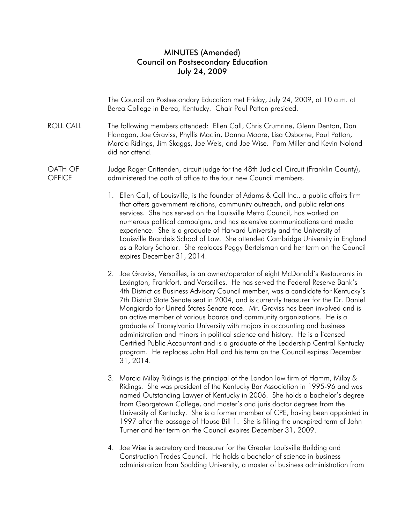## MINUTES (Amended) Council on Postsecondary Education July 24, 2009

 The Council on Postsecondary Education met Friday, July 24, 2009, at 10 a.m. at Berea College in Berea, Kentucky. Chair Paul Patton presided.

ROLL CALL The following members attended: Ellen Call, Chris Crumrine, Glenn Denton, Dan Flanagan, Joe Graviss, Phyllis Maclin, Donna Moore, Lisa Osborne, Paul Patton, Marcia Ridings, Jim Skaggs, Joe Weis, and Joe Wise. Pam Miller and Kevin Noland did not attend.

OATH OF **OFFICE** Judge Roger Crittenden, circuit judge for the 48th Judicial Circuit (Franklin County), administered the oath of office to the four new Council members.

- 1. Ellen Call, of Louisville, is the founder of Adams & Call Inc., a public affairs firm that offers government relations, community outreach, and public relations services. She has served on the Louisville Metro Council, has worked on numerous political campaigns, and has extensive communications and media experience. She is a graduate of Harvard University and the University of Louisville Brandeis School of Law. She attended Cambridge University in England as a Rotary Scholar. She replaces Peggy Bertelsman and her term on the Council expires December 31, 2014.
- 2. Joe Graviss, Versailles, is an owner/operator of eight McDonald's Restaurants in Lexington, Frankfort, and Versailles. He has served the Federal Reserve Bank's 4th District as Business Advisory Council member, was a candidate for Kentucky's 7th District State Senate seat in 2004, and is currently treasurer for the Dr. Daniel Mongiardo for United States Senate race. Mr. Graviss has been involved and is an active member of various boards and community organizations. He is a graduate of Transylvania University with majors in accounting and business administration and minors in political science and history. He is a licensed Certified Public Accountant and is a graduate of the Leadership Central Kentucky program. He replaces John Hall and his term on the Council expires December 31, 2014.
- 3. Marcia Milby Ridings is the principal of the London law firm of Hamm, Milby & Ridings. She was president of the Kentucky Bar Association in 1995-96 and was named Outstanding Lawyer of Kentucky in 2006. She holds a bachelor's degree from Georgetown College, and master's and juris doctor degrees from the University of Kentucky. She is a former member of CPE, having been appointed in 1997 after the passage of House Bill 1. She is filling the unexpired term of John Turner and her term on the Council expires December 31, 2009.
- 4. Joe Wise is secretary and treasurer for the Greater Louisville Building and Construction Trades Council. He holds a bachelor of science in business administration from Spalding University, a master of business administration from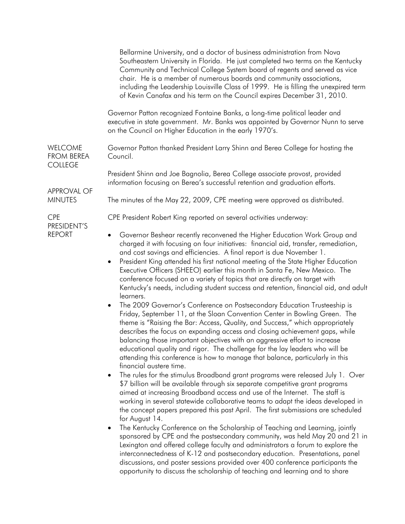|                                                               | Bellarmine University, and a doctor of business administration from Nova<br>Southeastern University in Florida. He just completed two terms on the Kentucky<br>Community and Technical College System board of regents and served as vice<br>chair. He is a member of numerous boards and community associations,<br>including the Leadership Louisville Class of 1999. He is filling the unexpired term<br>of Kevin Canafax and his term on the Council expires December 31, 2010.                                                                                                                                                                                                                                                                                                                                                                                                                                                                                                                                                                                                                                                                                                                                                                                                                                                                                                                                                                                                                                                                                                                                                                                                                                                                                                                                                                                                                                                                                                                                                                                                                                                                                                                             |
|---------------------------------------------------------------|-----------------------------------------------------------------------------------------------------------------------------------------------------------------------------------------------------------------------------------------------------------------------------------------------------------------------------------------------------------------------------------------------------------------------------------------------------------------------------------------------------------------------------------------------------------------------------------------------------------------------------------------------------------------------------------------------------------------------------------------------------------------------------------------------------------------------------------------------------------------------------------------------------------------------------------------------------------------------------------------------------------------------------------------------------------------------------------------------------------------------------------------------------------------------------------------------------------------------------------------------------------------------------------------------------------------------------------------------------------------------------------------------------------------------------------------------------------------------------------------------------------------------------------------------------------------------------------------------------------------------------------------------------------------------------------------------------------------------------------------------------------------------------------------------------------------------------------------------------------------------------------------------------------------------------------------------------------------------------------------------------------------------------------------------------------------------------------------------------------------------------------------------------------------------------------------------------------------|
|                                                               | Governor Patton recognized Fontaine Banks, a long-time political leader and<br>executive in state government. Mr. Banks was appointed by Governor Nunn to serve<br>on the Council on Higher Education in the early 1970's.                                                                                                                                                                                                                                                                                                                                                                                                                                                                                                                                                                                                                                                                                                                                                                                                                                                                                                                                                                                                                                                                                                                                                                                                                                                                                                                                                                                                                                                                                                                                                                                                                                                                                                                                                                                                                                                                                                                                                                                      |
| WELCOME<br><b>FROM BEREA</b><br><b>COLLEGE</b><br>APPROVAL OF | Governor Patton thanked President Larry Shinn and Berea College for hosting the<br>Council.                                                                                                                                                                                                                                                                                                                                                                                                                                                                                                                                                                                                                                                                                                                                                                                                                                                                                                                                                                                                                                                                                                                                                                                                                                                                                                                                                                                                                                                                                                                                                                                                                                                                                                                                                                                                                                                                                                                                                                                                                                                                                                                     |
|                                                               | President Shinn and Joe Bagnolia, Berea College associate provost, provided<br>information focusing on Berea's successful retention and graduation efforts.                                                                                                                                                                                                                                                                                                                                                                                                                                                                                                                                                                                                                                                                                                                                                                                                                                                                                                                                                                                                                                                                                                                                                                                                                                                                                                                                                                                                                                                                                                                                                                                                                                                                                                                                                                                                                                                                                                                                                                                                                                                     |
| <b>MINUTES</b>                                                | The minutes of the May 22, 2009, CPE meeting were approved as distributed.                                                                                                                                                                                                                                                                                                                                                                                                                                                                                                                                                                                                                                                                                                                                                                                                                                                                                                                                                                                                                                                                                                                                                                                                                                                                                                                                                                                                                                                                                                                                                                                                                                                                                                                                                                                                                                                                                                                                                                                                                                                                                                                                      |
| <b>CPE</b><br>PRESIDENT'S                                     | CPE President Robert King reported on several activities underway:                                                                                                                                                                                                                                                                                                                                                                                                                                                                                                                                                                                                                                                                                                                                                                                                                                                                                                                                                                                                                                                                                                                                                                                                                                                                                                                                                                                                                                                                                                                                                                                                                                                                                                                                                                                                                                                                                                                                                                                                                                                                                                                                              |
| <b>REPORT</b>                                                 | Governor Beshear recently reconvened the Higher Education Work Group and<br>$\bullet$<br>charged it with focusing on four initiatives: financial aid, transfer, remediation,<br>and cost savings and efficiencies. A final report is due November 1.<br>President King attended his first national meeting of the State Higher Education<br>$\bullet$<br>Executive Officers (SHEEO) earlier this month in Santa Fe, New Mexico. The<br>conference focused on a variety of topics that are directly on target with<br>Kentucky's needs, including student success and retention, financial aid, and adult<br>learners.<br>The 2009 Governor's Conference on Postsecondary Education Trusteeship is<br>$\bullet$<br>Friday, September 11, at the Sloan Convention Center in Bowling Green. The<br>theme is "Raising the Bar: Access, Quality, and Success," which appropriately<br>describes the focus on expanding access and closing achievement gaps, while<br>balancing those important objectives with an aggressive effort to increase<br>educational quality and rigor. The challenge for the lay leaders who will be<br>attending this conference is how to manage that balance, particularly in this<br>financial austere time.<br>The rules for the stimulus Broadband grant programs were released July 1. Over<br>$\bullet$<br>\$7 billion will be available through six separate competitive grant programs<br>aimed at increasing Broadband access and use of the Internet. The staff is<br>working in several statewide collaborative teams to adapt the ideas developed in<br>the concept papers prepared this past April. The first submissions are scheduled<br>for August 14.<br>The Kentucky Conference on the Scholarship of Teaching and Learning, jointly<br>$\bullet$<br>sponsored by CPE and the postsecondary community, was held May 20 and 21 in<br>Lexington and offered college faculty and administrators a forum to explore the<br>interconnectedness of K-12 and postsecondary education. Presentations, panel<br>discussions, and poster sessions provided over 400 conference participants the<br>opportunity to discuss the scholarship of teaching and learning and to share |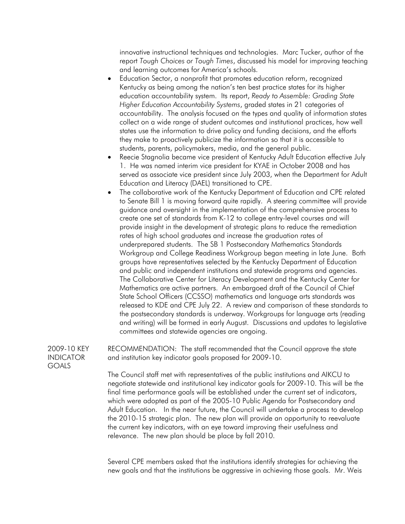innovative instructional techniques and technologies. Marc Tucker, author of the report *Tough Choices or Tough Times*, discussed his model for improving teaching and learning outcomes for America's schools.

- Education Sector, a nonprofit that promotes education reform, recognized Kentucky as being among the nation's ten best practice states for its higher education accountability system. Its report, *Ready to Assemble: Grading State Higher Education Accountability Systems*, graded states in 21 categories of accountability. The analysis focused on the types and quality of information states collect on a wide range of student outcomes and institutional practices, how well states use the information to drive policy and funding decisions, and the efforts they make to proactively publicize the information so that it is accessible to students, parents, policymakers, media, and the general public.
- Reecie Stagnolia became vice president of Kentucky Adult Education effective July 1. He was named interim vice president for KYAE in October 2008 and has served as associate vice president since July 2003, when the Department for Adult Education and Literacy (DAEL) transitioned to CPE.
- The collaborative work of the Kentucky Department of Education and CPE related to Senate Bill 1 is moving forward quite rapidly. A steering committee will provide guidance and oversight in the implementation of the comprehensive process to create one set of standards from K-12 to college entry-level courses and will provide insight in the development of strategic plans to reduce the remediation rates of high school graduates and increase the graduation rates of underprepared students. The SB 1 Postsecondary Mathematics Standards Workgroup and College Readiness Workgroup began meeting in late June. Both groups have representatives selected by the Kentucky Department of Education and public and independent institutions and statewide programs and agencies. The Collaborative Center for Literacy Development and the Kentucky Center for Mathematics are active partners. An embargoed draft of the Council of Chief State School Officers (CCSSO) mathematics and language arts standards was released to KDE and CPE July 22. A review and comparison of these standards to the postsecondary standards is underway. Workgroups for language arts (reading and writing) will be formed in early August. Discussions and updates to legislative committees and statewide agencies are ongoing.

2009-10 KEY INDICATOR RECOMMENDATION: The staff recommended that the Council approve the state and institution key indicator goals proposed for 2009-10.

GOALS

 The Council staff met with representatives of the public institutions and AIKCU to negotiate statewide and institutional key indicator goals for 2009-10. This will be the final time performance goals will be established under the current set of indicators, which were adopted as part of the 2005-10 Public Agenda for Postsecondary and Adult Education. In the near future, the Council will undertake a process to develop the 2010-15 strategic plan. The new plan will provide an opportunity to reevaluate the current key indicators, with an eye toward improving their usefulness and relevance. The new plan should be place by fall 2010.

 Several CPE members asked that the institutions identify strategies for achieving the new goals and that the institutions be aggressive in achieving those goals. Mr. Weis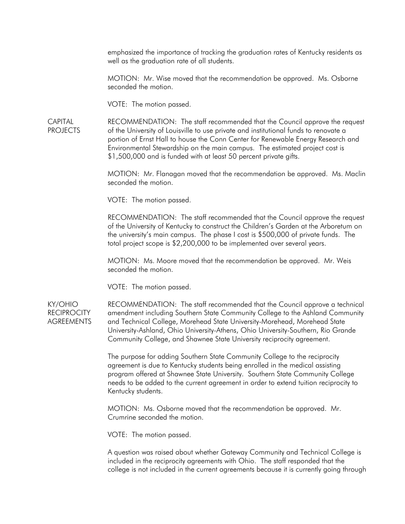emphasized the importance of tracking the graduation rates of Kentucky residents as well as the graduation rate of all students.

 MOTION: Mr. Wise moved that the recommendation be approved. Ms. Osborne seconded the motion.

VOTE: The motion passed.

**CAPITAL** PROJECTS RECOMMENDATION: The staff recommended that the Council approve the request of the University of Louisville to use private and institutional funds to renovate a portion of Ernst Hall to house the Conn Center for Renewable Energy Research and Environmental Stewardship on the main campus. The estimated project cost is \$1,500,000 and is funded with at least 50 percent private gifts.

> MOTION: Mr. Flanagan moved that the recommendation be approved. Ms. Maclin seconded the motion.

VOTE: The motion passed.

 RECOMMENDATION: The staff recommended that the Council approve the request of the University of Kentucky to construct the Children's Garden at the Arboretum on the university's main campus. The phase I cost is \$500,000 of private funds. The total project scope is \$2,200,000 to be implemented over several years.

 MOTION: Ms. Moore moved that the recommendation be approved. Mr. Weis seconded the motion.

VOTE: The motion passed.

KY/OHIO **RECIPROCITY AGREEMENTS**  RECOMMENDATION: The staff recommended that the Council approve a technical amendment including Southern State Community College to the Ashland Community and Technical College, Morehead State University-Morehead, Morehead State University-Ashland, Ohio University-Athens, Ohio University-Southern, Rio Grande Community College, and Shawnee State University reciprocity agreement.

 The purpose for adding Southern State Community College to the reciprocity agreement is due to Kentucky students being enrolled in the medical assisting program offered at Shawnee State University. Southern State Community College needs to be added to the current agreement in order to extend tuition reciprocity to Kentucky students.

 MOTION: Ms. Osborne moved that the recommendation be approved. Mr. Crumrine seconded the motion.

VOTE: The motion passed.

 A question was raised about whether Gateway Community and Technical College is included in the reciprocity agreements with Ohio. The staff responded that the college is not included in the current agreements because it is currently going through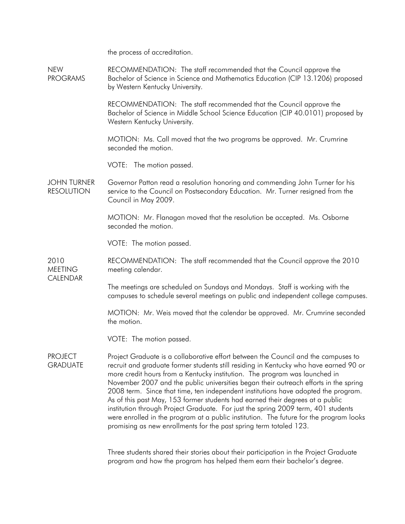the process of accreditation.

NEW PROGRAMS RECOMMENDATION: The staff recommended that the Council approve the Bachelor of Science in Science and Mathematics Education (CIP 13.1206) proposed by Western Kentucky University.

> RECOMMENDATION: The staff recommended that the Council approve the Bachelor of Science in Middle School Science Education (CIP 40.0101) proposed by Western Kentucky University.

 MOTION: Ms. Call moved that the two programs be approved. Mr. Crumrine seconded the motion.

VOTE: The motion passed.

JOHN TURNER RESOLUTION Governor Patton read a resolution honoring and commending John Turner for his service to the Council on Postsecondary Education. Mr. Turner resigned from the Council in May 2009.

> MOTION: Mr. Flanagan moved that the resolution be accepted. Ms. Osborne seconded the motion.

VOTE: The motion passed.

2010 **MEETING** RECOMMENDATION: The staff recommended that the Council approve the 2010 meeting calendar.

CALENDAR

 The meetings are scheduled on Sundays and Mondays. Staff is working with the campuses to schedule several meetings on public and independent college campuses.

 MOTION: Mr. Weis moved that the calendar be approved. Mr. Crumrine seconded the motion.

VOTE: The motion passed.

PROJECT **GRADUATE** Project Graduate is a collaborative effort between the Council and the campuses to recruit and graduate former students still residing in Kentucky who have earned 90 or more credit hours from a Kentucky institution. The program was launched in November 2007 and the public universities began their outreach efforts in the spring 2008 term. Since that time, ten independent institutions have adopted the program. As of this past May, 153 former students had earned their degrees at a public institution through Project Graduate. For just the spring 2009 term, 401 students were enrolled in the program at a public institution. The future for the program looks promising as new enrollments for the past spring term totaled 123.

> Three students shared their stories about their participation in the Project Graduate program and how the program has helped them earn their bachelor's degree.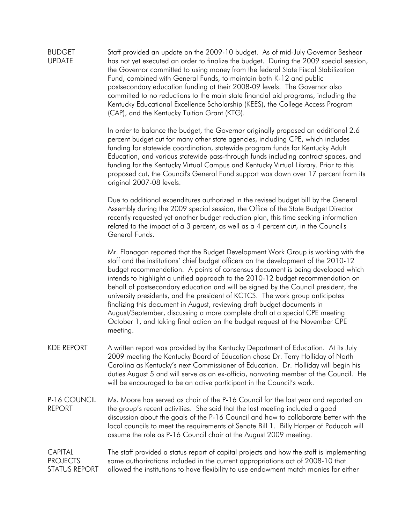BUDGET UPDATE Staff provided an update on the 2009-10 budget. As of mid-July Governor Beshear has not yet executed an order to finalize the budget. During the 2009 special session, the Governor committed to using money from the federal State Fiscal Stabilization Fund, combined with General Funds, to maintain both K-12 and public postsecondary education funding at their 2008-09 levels. The Governor also committed to no reductions to the main state financial aid programs, including the Kentucky Educational Excellence Scholarship (KEES), the College Access Program (CAP), and the Kentucky Tuition Grant (KTG).

> In order to balance the budget, the Governor originally proposed an additional 2.6 percent budget cut for many other state agencies, including CPE, which includes funding for statewide coordination, statewide program funds for Kentucky Adult Education, and various statewide pass-through funds including contract spaces, and funding for the Kentucky Virtual Campus and Kentucky Virtual Library. Prior to this proposed cut, the Council's General Fund support was down over 17 percent from its original 2007-08 levels.

 Due to additional expenditures authorized in the revised budget bill by the General Assembly during the 2009 special session, the Office of the State Budget Director recently requested yet another budget reduction plan, this time seeking information related to the impact of a 3 percent, as well as a 4 percent cut, in the Council's General Funds.

 Mr. Flanagan reported that the Budget Development Work Group is working with the staff and the institutions' chief budget officers on the development of the 2010-12 budget recommendation. A points of consensus document is being developed which intends to highlight a unified approach to the 2010-12 budget recommendation on behalf of postsecondary education and will be signed by the Council president, the university presidents, and the president of KCTCS. The work group anticipates finalizing this document in August, reviewing draft budget documents in August/September, discussing a more complete draft at a special CPE meeting October 1, and taking final action on the budget request at the November CPE meeting.

- KDE REPORT A written report was provided by the Kentucky Department of Education. At its July 2009 meeting the Kentucky Board of Education chose Dr. Terry Holliday of North Carolina as Kentucky's next Commissioner of Education. Dr. Holliday will begin his duties August 5 and will serve as an ex-officio, nonvoting member of the Council. He will be encouraged to be an active participant in the Council's work.
- P-16 COUNCIL REPORT Ms. Moore has served as chair of the P-16 Council for the last year and reported on the group's recent activities. She said that the last meeting included a good discussion about the goals of the P-16 Council and how to collaborate better with the local councils to meet the requirements of Senate Bill 1. Billy Harper of Paducah will assume the role as P-16 Council chair at the August 2009 meeting.

**CAPITAL** PROJECTS STATUS REPORT The staff provided a status report of capital projects and how the staff is implementing some authorizations included in the current appropriations act of 2008-10 that allowed the institutions to have flexibility to use endowment match monies for either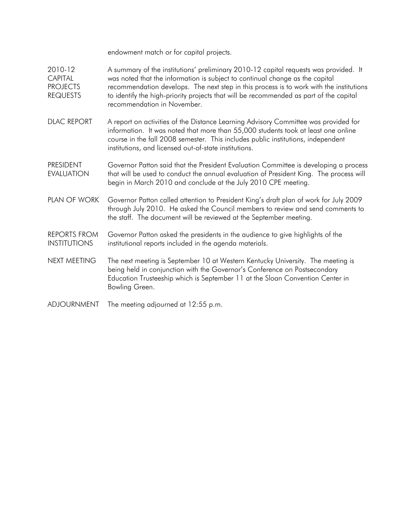endowment match or for capital projects.

- 2010-12 **CAPITAL** PROJECTS REQUESTS A summary of the institutions' preliminary 2010-12 capital requests was provided. It was noted that the information is subject to continual change as the capital recommendation develops. The next step in this process is to work with the institutions to identify the high-priority projects that will be recommended as part of the capital recommendation in November.
- DLAC REPORT A report on activities of the Distance Learning Advisory Committee was provided for information. It was noted that more than 55,000 students took at least one online course in the fall 2008 semester. This includes public institutions, independent institutions, and licensed out-of-state institutions.
- PRESIDENT EVALUATION Governor Patton said that the President Evaluation Committee is developing a process that will be used to conduct the annual evaluation of President King. The process will begin in March 2010 and conclude at the July 2010 CPE meeting.
- PLAN OF WORK Governor Patton called attention to President King's draft plan of work for July 2009 through July 2010. He asked the Council members to review and send comments to the staff. The document will be reviewed at the September meeting.
- REPORTS FROM INSTITUTIONS Governor Patton asked the presidents in the audience to give highlights of the institutional reports included in the agenda materials.
- NEXT MEETING The next meeting is September 10 at Western Kentucky University. The meeting is being held in conjunction with the Governor's Conference on Postsecondary Education Trusteeship which is September 11 at the Sloan Convention Center in Bowling Green.
- ADJOURNMENT The meeting adjourned at 12:55 p.m.